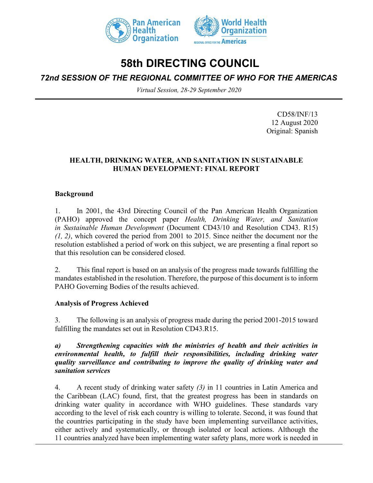



# **58th DIRECTING COUNCIL**

# *72nd SESSION OF THE REGIONAL COMMITTEE OF WHO FOR THE AMERICAS*

*Virtual Session, 28-29 September 2020*

CD58/INF/13 12 August 2020 Original: Spanish

#### **HEALTH, DRINKING WATER, AND SANITATION IN SUSTAINABLE HUMAN DEVELOPMENT: FINAL REPORT**

#### **Background**

1. In 2001, the 43rd Directing Council of the Pan American Health Organization (PAHO) approved the concept paper *Health, Drinking Water, and Sanitation in Sustainable Human Development* (Document CD43/10 and Resolution CD43. R15) *(1, 2)*, which covered the period from 2001 to 2015. Since neither the document nor the resolution established a period of work on this subject, we are presenting a final report so that this resolution can be considered closed.

2. This final report is based on an analysis of the progress made towards fulfilling the mandates established in the resolution. Therefore, the purpose of this document is to inform PAHO Governing Bodies of the results achieved.

#### **Analysis of Progress Achieved**

3. The following is an analysis of progress made during the period 2001-2015 toward fulfilling the mandates set out in Resolution CD43.R15.

#### *a) Strengthening capacities with the ministries of health and their activities in environmental health, to fulfill their responsibilities, including drinking water quality surveillance and contributing to improve the quality of drinking water and sanitation services*

4. A recent study of drinking water safety *(3)* in 11 countries in Latin America and the Caribbean (LAC) found, first, that the greatest progress has been in standards on drinking water quality in accordance with WHO guidelines. These standards vary according to the level of risk each country is willing to tolerate. Second, it was found that the countries participating in the study have been implementing surveillance activities, either actively and systematically, or through isolated or local actions. Although the 11 countries analyzed have been implementing water safety plans, more work is needed in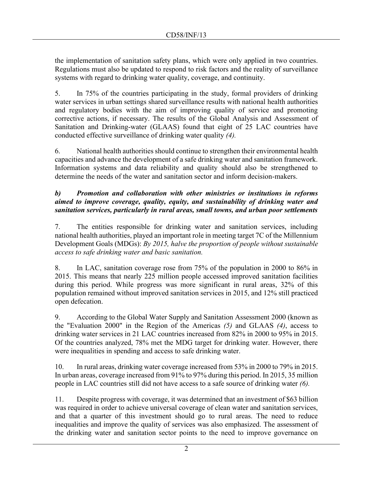the implementation of sanitation safety plans, which were only applied in two countries. Regulations must also be updated to respond to risk factors and the reality of surveillance systems with regard to drinking water quality, coverage, and continuity.

5. In 75% of the countries participating in the study, formal providers of drinking water services in urban settings shared surveillance results with national health authorities and regulatory bodies with the aim of improving quality of service and promoting corrective actions, if necessary. The results of the Global Analysis and Assessment of Sanitation and Drinking-water (GLAAS) found that eight of 25 LAC countries have conducted effective surveillance of drinking water quality *(4).*

6. National health authorities should continue to strengthen their environmental health capacities and advance the development of a safe drinking water and sanitation framework. Information systems and data reliability and quality should also be strengthened to determine the needs of the water and sanitation sector and inform decision-makers.

# *b) Promotion and collaboration with other ministries or institutions in reforms aimed to improve coverage, quality, equity, and sustainability of drinking water and sanitation services, particularly in rural areas, small towns, and urban poor settlements*

7. The entities responsible for drinking water and sanitation services, including national health authorities, played an important role in meeting target 7C of the Millennium Development Goals (MDGs): *By 2015, halve the proportion of people without sustainable access to safe drinking water and basic sanitation.*

8. In LAC, sanitation coverage rose from 75% of the population in 2000 to 86% in 2015. This means that nearly 225 million people accessed improved sanitation facilities during this period. While progress was more significant in rural areas, 32% of this population remained without improved sanitation services in 2015, and 12% still practiced open defecation.

9. According to the Global Water Supply and Sanitation Assessment 2000 (known as the "Evaluation 2000" in the Region of the Americas *(5)* and GLAAS *(4)*, access to drinking water services in 21 LAC countries increased from 82% in 2000 to 95% in 2015. Of the countries analyzed, 78% met the MDG target for drinking water. However, there were inequalities in spending and access to safe drinking water.

10. In rural areas, drinking water coverage increased from 53% in 2000 to 79% in 2015. In urban areas, coverage increased from 91% to 97% during this period. In 2015, 35 million people in LAC countries still did not have access to a safe source of drinking water *(6).*

11. Despite progress with coverage, it was determined that an investment of \$63 billion was required in order to achieve universal coverage of clean water and sanitation services, and that a quarter of this investment should go to rural areas. The need to reduce inequalities and improve the quality of services was also emphasized. The assessment of the drinking water and sanitation sector points to the need to improve governance on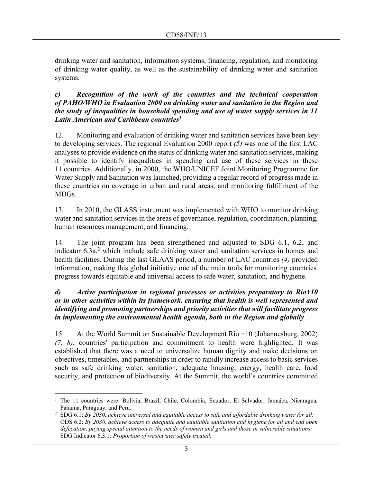drinking water and sanitation, information systems, financing, regulation, and monitoring of drinking water quality, as well as the sustainability of drinking water and sanitation systems.

#### *c) Recognition of the work of the countries and the technical cooperation of PAHO/WHO in Evaluation 2000 on drinking water and sanitation in the Region and the study of inequalities in household spending and use of water supply services in 11 Latin American and Caribbean countries<sup>1</sup>*

12. Monitoring and evaluation of drinking water and sanitation services have been key to developing services. The regional Evaluation 2000 report *(5)* was one of the first LAC analyses to provide evidence on the status of drinking water and sanitation services, making it possible to identify inequalities in spending and use of these services in these 11 countries. Additionally, in 2000, the WHO/UNICEF Joint Monitoring Programme for Water Supply and Sanitation was launched, providing a regular record of progress made in these countries on coverage in urban and rural areas, and monitoring fulfillment of the MDGs.

13. In 2010, the GLASS instrument was implemented with WHO to monitor drinking water and sanitation services in the areas of governance, regulation, coordination, planning, human resources management, and financing.

14. The joint program has been strengthened and adjusted to SDG 6.1, 6.2, and indicator  $6.3a$ <sup>2</sup> which include safe drinking water and sanitation services in homes and health facilities. During the last GLAAS period, a number of LAC countries *(4)* provided information, making this global initiative one of the main tools for monitoring countries' progress towards equitable and universal access to safe water, sanitation, and hygiene.

#### *d) Active participation in regional processes or activities preparatory to Rio+10 or in other activities within its framework, ensuring that health is well represented and identifying and promoting partnerships and priority activities that will facilitate progress in implementing the environmental health agenda, both in the Region and globally*

15. At the World Summit on Sustainable Development Rio +10 (Johannesburg, 2002) *(7, 8)*, countries' participation and commitment to health were highlighted. It was established that there was a need to universalize human dignity and make decisions on objectives, timetables, and partnerships in order to rapidly increase access to basic services such as safe drinking water, sanitation, adequate housing, energy, health care, food security, and protection of biodiversity. At the Summit, the world's countries committed

<sup>&</sup>lt;sup>1</sup> The 11 countries were: Bolivia, Brazil, Chile, Colombia, Ecuador, El Salvador, Jamaica, Nicaragua, Panama, Paraguay, and Peru.

<sup>2</sup> SDG 6.1: *By 2030, achieve universal and equitable access to safe and affordable drinking water for all;* ODS 6.2: *By 2030, achieve access to adequate and equitable sanitation and hygiene for all and end open defecation, paying special attention to the needs of women and girls and those in vulnerable situations;* SDG Indicator 6.3.1: *Proportion of wastewater safely treated.*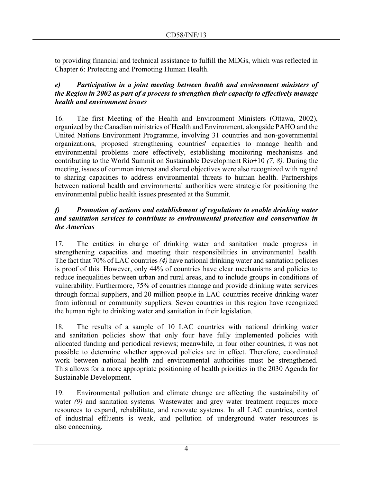to providing financial and technical assistance to fulfill the MDGs, which was reflected in Chapter 6: Protecting and Promoting Human Health.

# *e) Participation in a joint meeting between health and environment ministers of the Region in 2002 as part of a process to strengthen their capacity to effectively manage health and environment issues*

16. The first Meeting of the Health and Environment Ministers (Ottawa, 2002), organized by the Canadian ministries of Health and Environment, alongside PAHO and the United Nations Environment Programme, involving 31 countries and non-governmental organizations, proposed strengthening countries' capacities to manage health and environmental problems more effectively, establishing monitoring mechanisms and contributing to the World Summit on Sustainable Development Rio+10 *(7, 8).* During the meeting, issues of common interest and shared objectives were also recognized with regard to sharing capacities to address environmental threats to human health. Partnerships between national health and environmental authorities were strategic for positioning the environmental public health issues presented at the Summit.

# *f) Promotion of actions and establishment of regulations to enable drinking water and sanitation services to contribute to environmental protection and conservation in the Americas*

17. The entities in charge of drinking water and sanitation made progress in strengthening capacities and meeting their responsibilities in environmental health. The fact that 70% of LAC countries *(4)* have national drinking water and sanitation policies is proof of this. However, only 44% of countries have clear mechanisms and policies to reduce inequalities between urban and rural areas, and to include groups in conditions of vulnerability. Furthermore, 75% of countries manage and provide drinking water services through formal suppliers, and 20 million people in LAC countries receive drinking water from informal or community suppliers. Seven countries in this region have recognized the human right to drinking water and sanitation in their legislation.

18. The results of a sample of 10 LAC countries with national drinking water and sanitation policies show that only four have fully implemented policies with allocated funding and periodical reviews; meanwhile, in four other countries, it was not possible to determine whether approved policies are in effect. Therefore, coordinated work between national health and environmental authorities must be strengthened. This allows for a more appropriate positioning of health priorities in the 2030 Agenda for Sustainable Development.

19. Environmental pollution and climate change are affecting the sustainability of water *(9)* and sanitation systems. Wastewater and grey water treatment requires more resources to expand, rehabilitate, and renovate systems. In all LAC countries, control of industrial effluents is weak, and pollution of underground water resources is also concerning.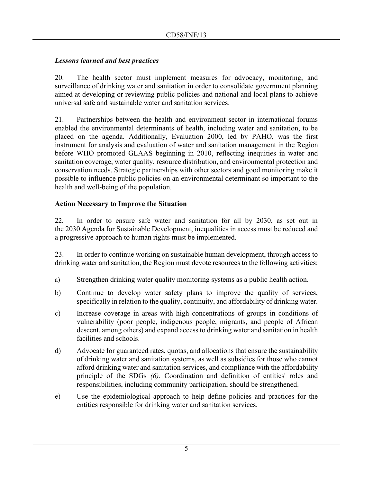# *Lessons learned and best practices*

20. The health sector must implement measures for advocacy, monitoring, and surveillance of drinking water and sanitation in order to consolidate government planning aimed at developing or reviewing public policies and national and local plans to achieve universal safe and sustainable water and sanitation services.

21. Partnerships between the health and environment sector in international forums enabled the environmental determinants of health, including water and sanitation, to be placed on the agenda. Additionally, Evaluation 2000, led by PAHO, was the first instrument for analysis and evaluation of water and sanitation management in the Region before WHO promoted GLAAS beginning in 2010, reflecting inequities in water and sanitation coverage, water quality, resource distribution, and environmental protection and conservation needs. Strategic partnerships with other sectors and good monitoring make it possible to influence public policies on an environmental determinant so important to the health and well-being of the population.

# **Action Necessary to Improve the Situation**

22. In order to ensure safe water and sanitation for all by 2030, as set out in the 2030 Agenda for Sustainable Development, inequalities in access must be reduced and a progressive approach to human rights must be implemented.

23. In order to continue working on sustainable human development, through access to drinking water and sanitation, the Region must devote resources to the following activities:

- a) Strengthen drinking water quality monitoring systems as a public health action.
- b) Continue to develop water safety plans to improve the quality of services, specifically in relation to the quality, continuity, and affordability of drinking water.
- c) Increase coverage in areas with high concentrations of groups in conditions of vulnerability (poor people, indigenous people, migrants, and people of African descent, among others) and expand access to drinking water and sanitation in health facilities and schools.
- d) Advocate for guaranteed rates, quotas, and allocations that ensure the sustainability of drinking water and sanitation systems, as well as subsidies for those who cannot afford drinking water and sanitation services, and compliance with the affordability principle of the SDGs *(6)*. Coordination and definition of entities' roles and responsibilities, including community participation, should be strengthened.
- e) Use the epidemiological approach to help define policies and practices for the entities responsible for drinking water and sanitation services.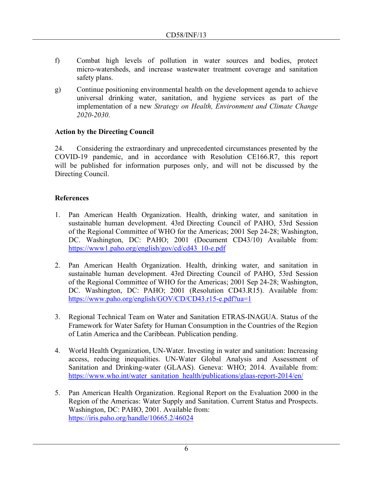- f) Combat high levels of pollution in water sources and bodies, protect micro-watersheds, and increase wastewater treatment coverage and sanitation safety plans.
- g) Continue positioning environmental health on the development agenda to achieve universal drinking water, sanitation, and hygiene services as part of the implementation of a new *Strategy on Health, Environment and Climate Change 2020-2030*.

# **Action by the Directing Council**

24. Considering the extraordinary and unprecedented circumstances presented by the COVID-19 pandemic, and in accordance with Resolution CE166.R7, this report will be published for information purposes only, and will not be discussed by the Directing Council.

# **References**

- 1. Pan American Health Organization. Health, drinking water, and sanitation in sustainable human development. 43rd Directing Council of PAHO, 53rd Session of the Regional Committee of WHO for the Americas; 2001 Sep 24-28; Washington, DC. Washington, DC: PAHO; 2001 (Document CD43/10) Available from: [https://www1.paho.org/english/gov/cd/cd43\\_10-e.pdf](https://www1.paho.org/english/gov/cd/cd43_10-e.pdf)
- 2. Pan American Health Organization. Health, drinking water, and sanitation in sustainable human development. 43rd Directing Council of PAHO, 53rd Session of the Regional Committee of WHO for the Americas; 2001 Sep 24-28; Washington, DC. Washington, DC: PAHO; 2001 (Resolution CD43.R15). Available from: <https://www.paho.org/english/GOV/CD/CD43.r15-e.pdf?ua=1>
- 3. Regional Technical Team on Water and Sanitation ETRAS-INAGUA. Status of the Framework for Water Safety for Human Consumption in the Countries of the Region of Latin America and the Caribbean. Publication pending.
- 4. World Health Organization, UN-Water. Investing in water and sanitation: Increasing access, reducing inequalities. UN-Water Global Analysis and Assessment of Sanitation and Drinking-water (GLAAS). Geneva: WHO; 2014. Available from: [https://www.who.int/water\\_sanitation\\_health/publications/glaas-report-2014/en/](https://www.who.int/water_sanitation_health/publications/glaas-report-2014/en/)
- 5. Pan American Health Organization. Regional Report on the Evaluation 2000 in the Region of the Americas: Water Supply and Sanitation. Current Status and Prospects. Washington, DC: PAHO, 2001. Available from: <https://iris.paho.org/handle/10665.2/46024>